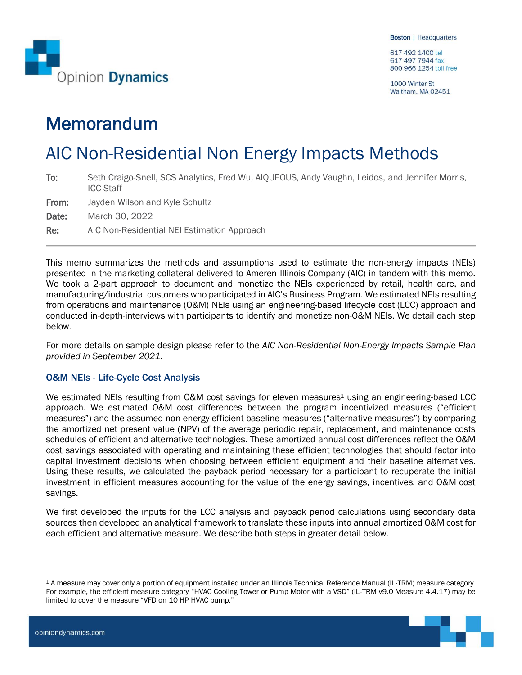617 492 1400 tel 617 497 7944 fax 800 966 1254 toll free

1000 Winter St Waltham, MA 02451

# Memorandum

# AIC Non-Residential Non Energy Impacts Methods

| To:   | Seth Craigo-Snell, SCS Analytics, Fred Wu, AIQUEOUS, Andy Vaughn, Leidos, and Jennifer Morris,<br><b>ICC Staff</b> |
|-------|--------------------------------------------------------------------------------------------------------------------|
| From: | Jayden Wilson and Kyle Schultz                                                                                     |
| Date: | March 30, 2022                                                                                                     |
| Re:   | AIC Non-Residential NEI Estimation Approach                                                                        |

This memo summarizes the methods and assumptions used to estimate the non-energy impacts (NEIs) presented in the marketing collateral delivered to Ameren Illinois Company (AIC) in tandem with this memo. We took a 2-part approach to document and monetize the NEIs experienced by retail, health care, and manufacturing/industrial customers who participated in AIC's Business Program. We estimated NEIs resulting from operations and maintenance (O&M) NEIs using an engineering-based lifecycle cost (LCC) approach and conducted in-depth-interviews with participants to identify and monetize non-O&M NEIs. We detail each step below.

For more details on sample design please refer to the *AIC Non-Residential Non-Energy Impacts Sample Plan provided in September 2021.*

# O&M NEIs - Life-Cycle Cost Analysis

We estimated NEIs resulting from O&M cost savings for eleven measures<sup>1</sup> using an engineering-based LCC approach. We estimated O&M cost differences between the program incentivized measures ("efficient measures") and the assumed non-energy efficient baseline measures ("alternative measures") by comparing the amortized net present value (NPV) of the average periodic repair, replacement, and maintenance costs schedules of efficient and alternative technologies. These amortized annual cost differences reflect the O&M cost savings associated with operating and maintaining these efficient technologies that should factor into capital investment decisions when choosing between efficient equipment and their baseline alternatives. Using these results, we calculated the payback period necessary for a participant to recuperate the initial investment in efficient measures accounting for the value of the energy savings, incentives, and O&M cost savings.

We first developed the inputs for the LCC analysis and payback period calculations using secondary data sources then developed an analytical framework to translate these inputs into annual amortized O&M cost for each efficient and alternative measure. We describe both steps in greater detail below.

<sup>1</sup> A measure may cover only a portion of equipment installed under an Illinois Technical Reference Manual (IL-TRM) measure category. For example, the efficient measure category "HVAC Cooling Tower or Pump Motor with a VSD" (IL-TRM v9.0 Measure 4.4.17) may be limited to cover the measure "VFD on 10 HP HVAC pump."

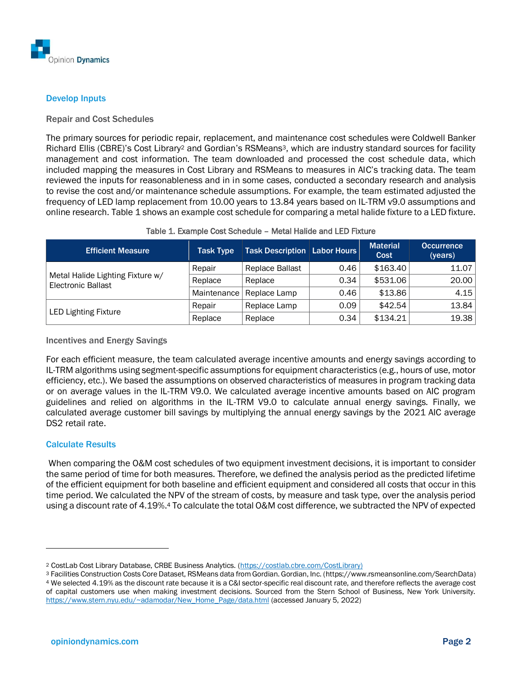

# Develop Inputs

#### Repair and Cost Schedules

The primary sources for periodic repair, replacement, and maintenance cost schedules were Coldwell Banker Richard Ellis (CBRE)'s Cost Library<sup>2</sup> and Gordian's RSMeans3, which are industry standard sources for facility management and cost information. The team downloaded and processed the cost schedule data, which included mapping the measures in Cost Library and RSMeans to measures in AIC's tracking data. The team reviewed the inputs for reasonableness and in in some cases, conducted a secondary research and analysis to revise the cost and/or maintenance schedule assumptions. For example, the team estimated adjusted the frequency of LED lamp replacement from 10.00 years to 13.84 years based on IL-TRM v9.0 assumptions and online research. [Table 1](#page-1-0) shows an example cost schedule for comparing a metal halide fixture to a LED fixture.

<span id="page-1-0"></span>

| <b>Efficient Measure</b>                                      | <b>Task Type</b> | <b>Task Description Labor Hours</b> |      | <b>Material</b><br>Cost | <b>Occurrence</b><br>(years) |
|---------------------------------------------------------------|------------------|-------------------------------------|------|-------------------------|------------------------------|
|                                                               | Repair           | Replace Ballast                     | 0.46 | \$163.40                | 11.07                        |
| Metal Halide Lighting Fixture w/<br><b>Electronic Ballast</b> | Replace          | Replace                             | 0.34 | \$531.06                | 20.00                        |
|                                                               | Maintenance      | Replace Lamp                        | 0.46 | \$13.86                 | 4.15                         |
|                                                               | Repair           | Replace Lamp                        | 0.09 | \$42.54                 | 13.84                        |
| <b>LED Lighting Fixture</b>                                   | Replace          | Replace                             | 0.34 | \$134.21                | 19.38                        |

#### Table 1. Example Cost Schedule – Metal Halide and LED Fixture

#### Incentives and Energy Savings

For each efficient measure, the team calculated average incentive amounts and energy savings according to IL-TRM algorithms using segment-specific assumptions for equipment characteristics (e.g., hours of use, motor efficiency, etc.). We based the assumptions on observed characteristics of measures in program tracking data or on average values in the IL-TRM V9.0. We calculated average incentive amounts based on AIC program guidelines and relied on algorithms in the IL-TRM V9.0 to calculate annual energy savings. Finally, we calculated average customer bill savings by multiplying the annual energy savings by the 2021 AIC average DS2 retail rate.

#### Calculate Results

When comparing the O&M cost schedules of two equipment investment decisions, it is important to consider the same period of time for both measures. Therefore, we defined the analysis period as the predicted lifetime of the efficient equipment for both baseline and efficient equipment and considered all costs that occur in this time period. We calculated the NPV of the stream of costs, by measure and task type, over the analysis period using a discount rate of 4.19%.<sup>4</sup> To calculate the total O&M cost difference, we subtracted the NPV of expected

<sup>2</sup> CostLab Cost Library Database, CRBE Business Analytics. [\(https://costlab.cbre.com/CostLibrary\)](https://costlab.cbre.com/CostLibrary).)

<sup>3</sup> Facilities Construction Costs Core Dataset, RSMeans data from Gordian. Gordian, Inc. (https://www.rsmeansonline.com/SearchData) <sup>4</sup> We selected 4.19% as the discount rate because it is a C&I sector-specific real discount rate, and therefore reflects the average cost of capital customers use when making investment decisions. Sourced from the Stern School of Business, New York University. [https://www.stern.nyu.edu/~adamodar/New\\_Home\\_Page/data.html](https://www.stern.nyu.edu/~adamodar/New_Home_Page/data.html) (accessed January 5, 2022)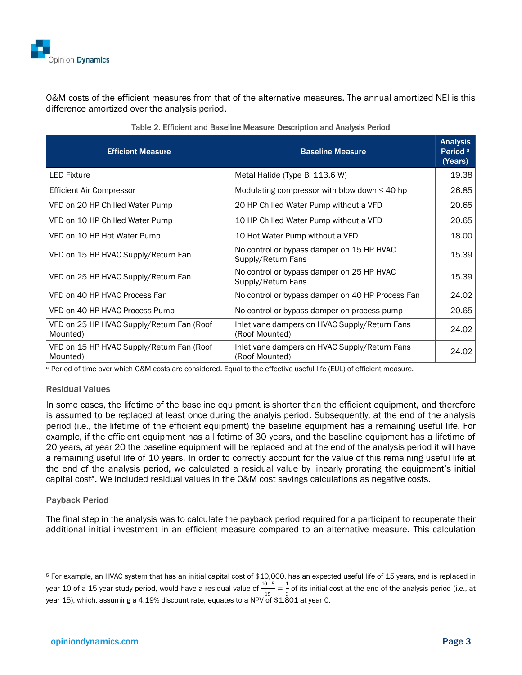

O&M costs of the efficient measures from that of the alternative measures. The annual amortized NEI is this difference amortized over the analysis period.

| <b>Efficient Measure</b>                              | <b>Baseline Measure</b>                                         | <b>Analysis</b><br>Period <sup>a</sup><br>(Years) |
|-------------------------------------------------------|-----------------------------------------------------------------|---------------------------------------------------|
| <b>LED Fixture</b>                                    | Metal Halide (Type B, 113.6 W)                                  | 19.38                                             |
| <b>Efficient Air Compressor</b>                       | Modulating compressor with blow down $\leq 40$ hp               | 26.85                                             |
| VFD on 20 HP Chilled Water Pump                       | 20 HP Chilled Water Pump without a VFD                          | 20.65                                             |
| VFD on 10 HP Chilled Water Pump                       | 10 HP Chilled Water Pump without a VFD                          | 20.65                                             |
| VFD on 10 HP Hot Water Pump                           | 10 Hot Water Pump without a VFD                                 | 18.00                                             |
| VFD on 15 HP HVAC Supply/Return Fan                   | No control or bypass damper on 15 HP HVAC<br>Supply/Return Fans | 15.39                                             |
| VFD on 25 HP HVAC Supply/Return Fan                   | No control or bypass damper on 25 HP HVAC<br>Supply/Return Fans | 15.39                                             |
| VFD on 40 HP HVAC Process Fan                         | No control or bypass damper on 40 HP Process Fan                | 24.02                                             |
| VFD on 40 HP HVAC Process Pump                        | No control or bypass damper on process pump                     | 20.65                                             |
| VFD on 25 HP HVAC Supply/Return Fan (Roof<br>Mounted) | Inlet vane dampers on HVAC Supply/Return Fans<br>(Roof Mounted) | 24.02                                             |
| VFD on 15 HP HVAC Supply/Return Fan (Roof<br>Mounted) | Inlet vane dampers on HVAC Supply/Return Fans<br>(Roof Mounted) | 24.02                                             |

| Table 2. Efficient and Baseline Measure Description and Analysis Period |  |  |  |
|-------------------------------------------------------------------------|--|--|--|
|                                                                         |  |  |  |

a. Period of time over which O&M costs are considered. Equal to the effective useful life (EUL) of efficient measure.

#### Residual Values

In some cases, the lifetime of the baseline equipment is shorter than the efficient equipment, and therefore is assumed to be replaced at least once during the analyis period. Subsequently, at the end of the analysis period (i.e., the lifetime of the efficient equipment) the baseline equipment has a remaining useful life. For example, if the efficient equipment has a lifetime of 30 years, and the baseline equipment has a lifetime of 20 years, at year 20 the baseline equipment will be replaced and at the end of the analysis period it will have a remaining useful life of 10 years. In order to correctly account for the value of this remaining useful life at the end of the analysis period, we calculated a residual value by linearly prorating the equipment's initial capital cost<sup>5</sup>. We included residual values in the O&M cost savings calculations as negative costs.

### Payback Period

The final step in the analysis was to calculate the payback period required for a participant to recuperate their additional initial investment in an efficient measure compared to an alternative measure. This calculation

<sup>5</sup> For example, an HVAC system that has an initial capital cost of \$10,000, has an expected useful life of 15 years, and is replaced in year 10 of a 15 year study period, would have a residual value of  $\frac{10-5}{10}$  $\frac{0-5}{15} = \frac{1}{3}$  $\frac{1}{3}$  of its initial cost at the end of the analysis period (i.e., at year 15), which, assuming a 4.19% discount rate, equates to a NPV of \$1,801 at year 0.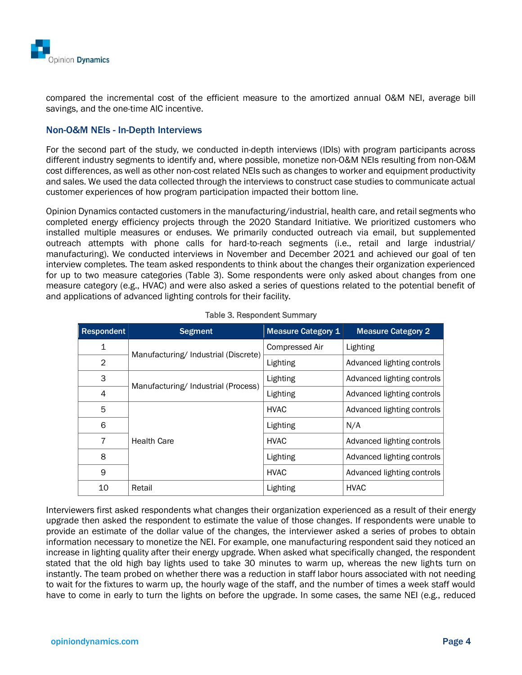

compared the incremental cost of the efficient measure to the amortized annual O&M NEI, average bill savings, and the one-time AIC incentive.

## Non-O&M NEIs - In-Depth Interviews

For the second part of the study, we conducted in-depth interviews (IDIs) with program participants across different industry segments to identify and, where possible, monetize non-O&M NEIs resulting from non-O&M cost differences, as well as other non-cost related NEIs such as changes to worker and equipment productivity and sales. We used the data collected through the interviews to construct case studies to communicate actual customer experiences of how program participation impacted their bottom line.

Opinion Dynamics contacted customers in the manufacturing/industrial, health care, and retail segments who completed energy efficiency projects through the 2020 Standard Initiative. We prioritized customers who installed multiple measures or enduses. We primarily conducted outreach via email, but supplemented outreach attempts with phone calls for hard-to-reach segments (i.e., retail and large industrial/ manufacturing). We conducted interviews in November and December 2021 and achieved our goal of ten interview completes. The team asked respondents to think about the changes their organization experienced for up to two measure categories [\(Table 3\)](#page-3-0). Some respondents were only asked about changes from one measure category (e.g., HVAC) and were also asked a series of questions related to the potential benefit of and applications of advanced lighting controls for their facility.

<span id="page-3-0"></span>

| Respondent | <b>Segment</b>                      | <b>Measure Category 1</b> | <b>Measure Category 2</b>  |
|------------|-------------------------------------|---------------------------|----------------------------|
| 1          |                                     | Compressed Air            | Lighting                   |
| 2          | Manufacturing/Industrial (Discrete) | Lighting                  | Advanced lighting controls |
| 3          |                                     | Lighting                  | Advanced lighting controls |
| 4          | Manufacturing/Industrial (Process)  | Lighting                  | Advanced lighting controls |
| 5          |                                     | <b>HVAC</b>               | Advanced lighting controls |
| 6          |                                     | Lighting                  | N/A                        |
| 7          | <b>Health Care</b>                  | <b>HVAC</b>               | Advanced lighting controls |
| 8          |                                     | Lighting                  | Advanced lighting controls |
| 9          |                                     | <b>HVAC</b>               | Advanced lighting controls |
| 10         | Retail                              | Lighting                  | <b>HVAC</b>                |

#### Table 3. Respondent Summary

Interviewers first asked respondents what changes their organization experienced as a result of their energy upgrade then asked the respondent to estimate the value of those changes. If respondents were unable to provide an estimate of the dollar value of the changes, the interviewer asked a series of probes to obtain information necessary to monetize the NEI. For example, one manufacturing respondent said they noticed an increase in lighting quality after their energy upgrade. When asked what specifically changed, the respondent stated that the old high bay lights used to take 30 minutes to warm up, whereas the new lights turn on instantly. The team probed on whether there was a reduction in staff labor hours associated with not needing to wait for the fixtures to warm up, the hourly wage of the staff, and the number of times a week staff would have to come in early to turn the lights on before the upgrade. In some cases, the same NEI (e.g., reduced